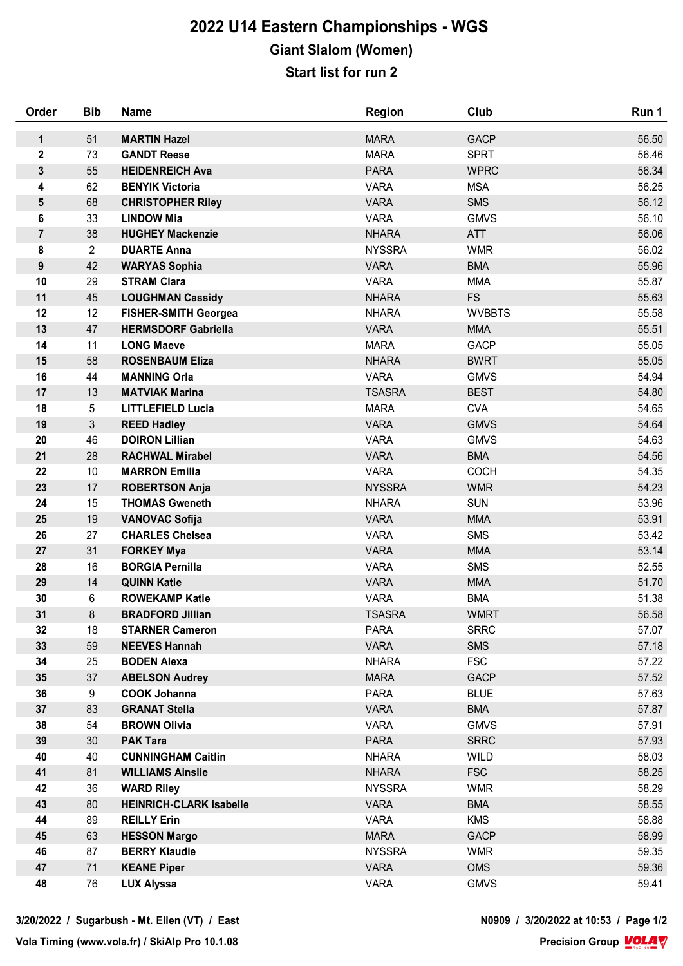## **2022 U14 Eastern Championships - WGS Giant Slalom (Women) Start list for run 2**

| Order          | <b>Bib</b>     | <b>Name</b>                    | <b>Region</b> | Club          | Run 1 |
|----------------|----------------|--------------------------------|---------------|---------------|-------|
| 1              | 51             | <b>MARTIN Hazel</b>            | <b>MARA</b>   | <b>GACP</b>   | 56.50 |
| $\mathbf 2$    | 73             | <b>GANDT Reese</b>             | <b>MARA</b>   | <b>SPRT</b>   | 56.46 |
| $\mathbf{3}$   | 55             | <b>HEIDENREICH Ava</b>         | <b>PARA</b>   | <b>WPRC</b>   | 56.34 |
| 4              | 62             | <b>BENYIK Victoria</b>         | <b>VARA</b>   | <b>MSA</b>    | 56.25 |
| 5              | 68             | <b>CHRISTOPHER Riley</b>       | <b>VARA</b>   | <b>SMS</b>    | 56.12 |
| 6              | 33             | <b>LINDOW Mia</b>              | <b>VARA</b>   | <b>GMVS</b>   | 56.10 |
| $\overline{7}$ | 38             | <b>HUGHEY Mackenzie</b>        | <b>NHARA</b>  | <b>ATT</b>    | 56.06 |
| 8              | $\overline{2}$ | <b>DUARTE Anna</b>             | <b>NYSSRA</b> | <b>WMR</b>    | 56.02 |
| 9              | 42             | <b>WARYAS Sophia</b>           | <b>VARA</b>   | <b>BMA</b>    | 55.96 |
| 10             | 29             | <b>STRAM Clara</b>             | <b>VARA</b>   | <b>MMA</b>    | 55.87 |
| 11             | 45             | <b>LOUGHMAN Cassidy</b>        | <b>NHARA</b>  | <b>FS</b>     | 55.63 |
| 12             | 12             | <b>FISHER-SMITH Georgea</b>    | <b>NHARA</b>  | <b>WVBBTS</b> | 55.58 |
| 13             | 47             | <b>HERMSDORF Gabriella</b>     | <b>VARA</b>   | <b>MMA</b>    | 55.51 |
| 14             | 11             | <b>LONG Maeve</b>              | <b>MARA</b>   | <b>GACP</b>   | 55.05 |
| 15             | 58             | <b>ROSENBAUM Eliza</b>         | <b>NHARA</b>  | <b>BWRT</b>   | 55.05 |
| 16             | 44             | <b>MANNING Orla</b>            | <b>VARA</b>   | <b>GMVS</b>   | 54.94 |
| 17             | 13             | <b>MATVIAK Marina</b>          | <b>TSASRA</b> | <b>BEST</b>   | 54.80 |
| 18             | 5              | <b>LITTLEFIELD Lucia</b>       | <b>MARA</b>   | <b>CVA</b>    | 54.65 |
| 19             | $\mathfrak{S}$ | <b>REED Hadley</b>             | <b>VARA</b>   | <b>GMVS</b>   | 54.64 |
| 20             | 46             | <b>DOIRON Lillian</b>          | <b>VARA</b>   | <b>GMVS</b>   | 54.63 |
| 21             | 28             | <b>RACHWAL Mirabel</b>         | <b>VARA</b>   | <b>BMA</b>    | 54.56 |
| 22             | 10             | <b>MARRON Emilia</b>           | <b>VARA</b>   | <b>COCH</b>   | 54.35 |
| 23             | 17             | <b>ROBERTSON Anja</b>          | <b>NYSSRA</b> | <b>WMR</b>    | 54.23 |
| 24             | 15             | <b>THOMAS Gweneth</b>          | <b>NHARA</b>  | <b>SUN</b>    | 53.96 |
| 25             | 19             | <b>VANOVAC Sofija</b>          | <b>VARA</b>   | <b>MMA</b>    | 53.91 |
| 26             | 27             | <b>CHARLES Chelsea</b>         | <b>VARA</b>   | <b>SMS</b>    | 53.42 |
| 27             | 31             | <b>FORKEY Mya</b>              | <b>VARA</b>   | <b>MMA</b>    | 53.14 |
| 28             | 16             | <b>BORGIA Pernilla</b>         | <b>VARA</b>   | <b>SMS</b>    | 52.55 |
| 29             | 14             | <b>QUINN Katie</b>             | <b>VARA</b>   | <b>MMA</b>    | 51.70 |
| 30             | 6              | <b>ROWEKAMP Katie</b>          | <b>VARA</b>   | <b>BMA</b>    | 51.38 |
| 31             | 8              | <b>BRADFORD Jillian</b>        | <b>TSASRA</b> | <b>WMRT</b>   | 56.58 |
| 32             | 18             | <b>STARNER Cameron</b>         | <b>PARA</b>   | <b>SRRC</b>   | 57.07 |
| 33             | 59             | <b>NEEVES Hannah</b>           | <b>VARA</b>   | <b>SMS</b>    | 57.18 |
| 34             | 25             | <b>BODEN Alexa</b>             | <b>NHARA</b>  | <b>FSC</b>    | 57.22 |
| 35             | 37             | <b>ABELSON Audrey</b>          | <b>MARA</b>   | <b>GACP</b>   | 57.52 |
| 36             | 9              | <b>COOK Johanna</b>            | <b>PARA</b>   | <b>BLUE</b>   | 57.63 |
| 37             | 83             | <b>GRANAT Stella</b>           | <b>VARA</b>   | <b>BMA</b>    | 57.87 |
| 38             | 54             | <b>BROWN Olivia</b>            | <b>VARA</b>   | <b>GMVS</b>   | 57.91 |
| 39             | 30             | <b>PAK Tara</b>                | <b>PARA</b>   | <b>SRRC</b>   | 57.93 |
| 40             | 40             | <b>CUNNINGHAM Caitlin</b>      | <b>NHARA</b>  | WILD          | 58.03 |
| 41             | 81             | <b>WILLIAMS Ainslie</b>        | <b>NHARA</b>  | <b>FSC</b>    | 58.25 |
| 42             | 36             | <b>WARD Riley</b>              | <b>NYSSRA</b> | <b>WMR</b>    | 58.29 |
| 43             | 80             | <b>HEINRICH-CLARK Isabelle</b> | <b>VARA</b>   | <b>BMA</b>    | 58.55 |
| 44             | 89             | <b>REILLY Erin</b>             | <b>VARA</b>   | <b>KMS</b>    | 58.88 |
| 45             | 63             | <b>HESSON Margo</b>            | <b>MARA</b>   | <b>GACP</b>   | 58.99 |
| 46             | 87             | <b>BERRY Klaudie</b>           | <b>NYSSRA</b> | <b>WMR</b>    | 59.35 |
| 47             | 71             | <b>KEANE Piper</b>             | <b>VARA</b>   | <b>OMS</b>    | 59.36 |
| 48             | 76             | <b>LUX Alyssa</b>              | <b>VARA</b>   | <b>GMVS</b>   | 59.41 |

**3/20/2022 / Sugarbush - Mt. Ellen (VT) / East N0909 / 3/20/2022 at 10:53 / Page 1/2**